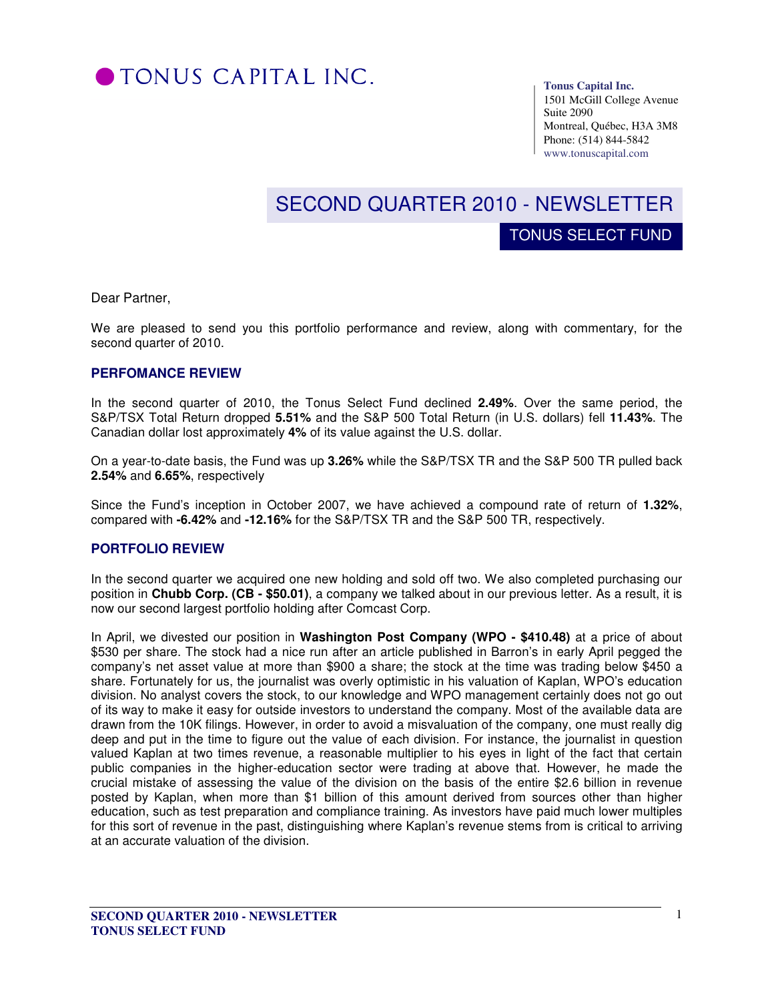

**Tonus Capital Inc.** 

TONUS SELECT FUND

1501 McGill College Avenue Suite 2090 Montreal, Québec, H3A 3M8 Phone: (514) 844-5842 www.tonuscapital.com

# SECOND QUARTER 2010 - NEWSLETTER

Dear Partner,

We are pleased to send you this portfolio performance and review, along with commentary, for the second quarter of 2010.

#### **PERFOMANCE REVIEW**

In the second quarter of 2010, the Tonus Select Fund declined **2.49%**. Over the same period, the S&P/TSX Total Return dropped **5.51%** and the S&P 500 Total Return (in U.S. dollars) fell **11.43%**. The Canadian dollar lost approximately **4%** of its value against the U.S. dollar.

On a year-to-date basis, the Fund was up **3.26%** while the S&P/TSX TR and the S&P 500 TR pulled back **2.54%** and **6.65%**, respectively

Since the Fund's inception in October 2007, we have achieved a compound rate of return of **1.32%**, compared with **-6.42%** and **-12.16%** for the S&P/TSX TR and the S&P 500 TR, respectively.

### **PORTFOLIO REVIEW**

In the second quarter we acquired one new holding and sold off two. We also completed purchasing our position in **Chubb Corp. (CB - \$50.01)**, a company we talked about in our previous letter. As a result, it is now our second largest portfolio holding after Comcast Corp.

In April, we divested our position in **Washington Post Company (WPO - \$410.48)** at a price of about \$530 per share. The stock had a nice run after an article published in Barron's in early April pegged the company's net asset value at more than \$900 a share; the stock at the time was trading below \$450 a share. Fortunately for us, the journalist was overly optimistic in his valuation of Kaplan, WPO's education division. No analyst covers the stock, to our knowledge and WPO management certainly does not go out of its way to make it easy for outside investors to understand the company. Most of the available data are drawn from the 10K filings. However, in order to avoid a misvaluation of the company, one must really dig deep and put in the time to figure out the value of each division. For instance, the journalist in question valued Kaplan at two times revenue, a reasonable multiplier to his eyes in light of the fact that certain public companies in the higher-education sector were trading at above that. However, he made the crucial mistake of assessing the value of the division on the basis of the entire \$2.6 billion in revenue posted by Kaplan, when more than \$1 billion of this amount derived from sources other than higher education, such as test preparation and compliance training. As investors have paid much lower multiples for this sort of revenue in the past, distinguishing where Kaplan's revenue stems from is critical to arriving at an accurate valuation of the division.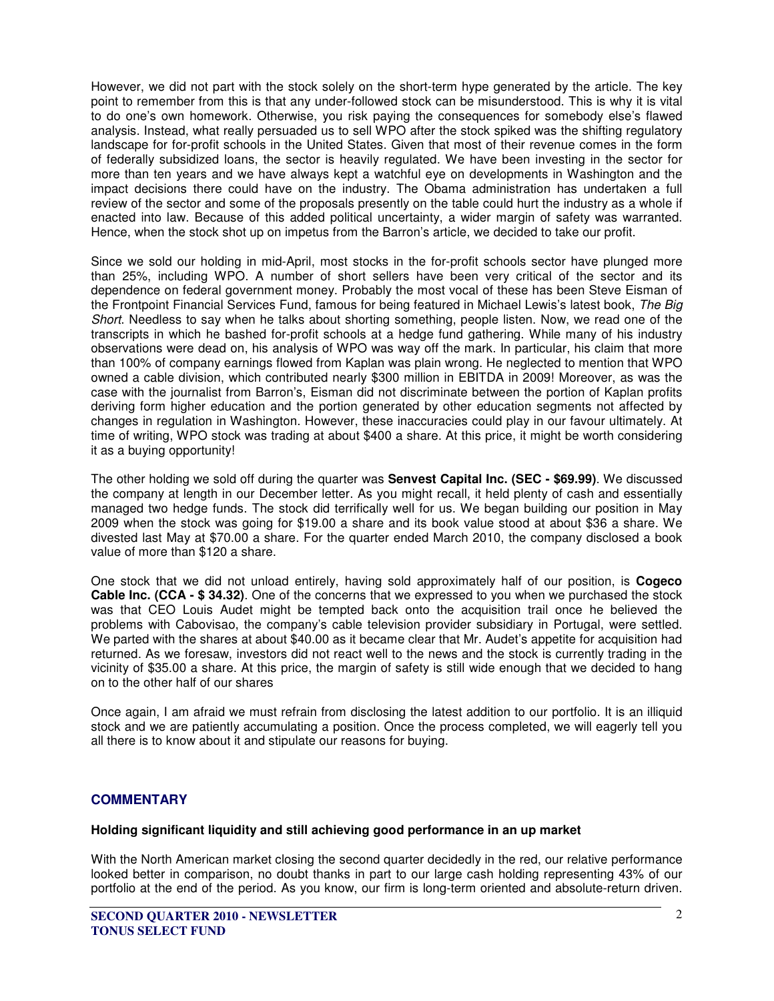However, we did not part with the stock solely on the short-term hype generated by the article. The key point to remember from this is that any under-followed stock can be misunderstood. This is why it is vital to do one's own homework. Otherwise, you risk paying the consequences for somebody else's flawed analysis. Instead, what really persuaded us to sell WPO after the stock spiked was the shifting regulatory landscape for for-profit schools in the United States. Given that most of their revenue comes in the form of federally subsidized loans, the sector is heavily regulated. We have been investing in the sector for more than ten years and we have always kept a watchful eye on developments in Washington and the impact decisions there could have on the industry. The Obama administration has undertaken a full review of the sector and some of the proposals presently on the table could hurt the industry as a whole if enacted into law. Because of this added political uncertainty, a wider margin of safety was warranted. Hence, when the stock shot up on impetus from the Barron's article, we decided to take our profit.

Since we sold our holding in mid-April, most stocks in the for-profit schools sector have plunged more than 25%, including WPO. A number of short sellers have been very critical of the sector and its dependence on federal government money. Probably the most vocal of these has been Steve Eisman of the Frontpoint Financial Services Fund, famous for being featured in Michael Lewis's latest book, The Big Short. Needless to say when he talks about shorting something, people listen. Now, we read one of the transcripts in which he bashed for-profit schools at a hedge fund gathering. While many of his industry observations were dead on, his analysis of WPO was way off the mark. In particular, his claim that more than 100% of company earnings flowed from Kaplan was plain wrong. He neglected to mention that WPO owned a cable division, which contributed nearly \$300 million in EBITDA in 2009! Moreover, as was the case with the journalist from Barron's, Eisman did not discriminate between the portion of Kaplan profits deriving form higher education and the portion generated by other education segments not affected by changes in regulation in Washington. However, these inaccuracies could play in our favour ultimately. At time of writing, WPO stock was trading at about \$400 a share. At this price, it might be worth considering it as a buying opportunity!

The other holding we sold off during the quarter was **Senvest Capital Inc. (SEC - \$69.99)**. We discussed the company at length in our December letter. As you might recall, it held plenty of cash and essentially managed two hedge funds. The stock did terrifically well for us. We began building our position in May 2009 when the stock was going for \$19.00 a share and its book value stood at about \$36 a share. We divested last May at \$70.00 a share. For the quarter ended March 2010, the company disclosed a book value of more than \$120 a share.

One stock that we did not unload entirely, having sold approximately half of our position, is **Cogeco Cable Inc. (CCA - \$ 34.32)**. One of the concerns that we expressed to you when we purchased the stock was that CEO Louis Audet might be tempted back onto the acquisition trail once he believed the problems with Cabovisao, the company's cable television provider subsidiary in Portugal, were settled. We parted with the shares at about \$40.00 as it became clear that Mr. Audet's appetite for acquisition had returned. As we foresaw, investors did not react well to the news and the stock is currently trading in the vicinity of \$35.00 a share. At this price, the margin of safety is still wide enough that we decided to hang on to the other half of our shares

Once again, I am afraid we must refrain from disclosing the latest addition to our portfolio. It is an illiquid stock and we are patiently accumulating a position. Once the process completed, we will eagerly tell you all there is to know about it and stipulate our reasons for buying.

## **COMMENTARY**

#### **Holding significant liquidity and still achieving good performance in an up market**

With the North American market closing the second quarter decidedly in the red, our relative performance looked better in comparison, no doubt thanks in part to our large cash holding representing 43% of our portfolio at the end of the period. As you know, our firm is long-term oriented and absolute-return driven.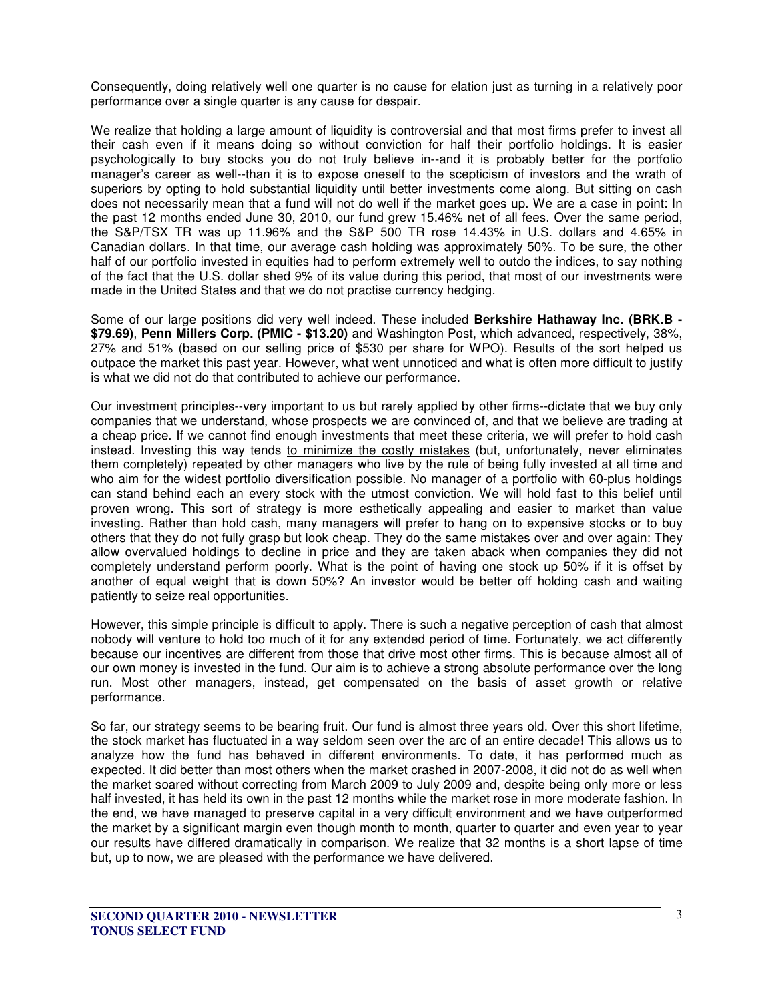Consequently, doing relatively well one quarter is no cause for elation just as turning in a relatively poor performance over a single quarter is any cause for despair.

We realize that holding a large amount of liquidity is controversial and that most firms prefer to invest all their cash even if it means doing so without conviction for half their portfolio holdings. It is easier psychologically to buy stocks you do not truly believe in--and it is probably better for the portfolio manager's career as well--than it is to expose oneself to the scepticism of investors and the wrath of superiors by opting to hold substantial liquidity until better investments come along. But sitting on cash does not necessarily mean that a fund will not do well if the market goes up. We are a case in point: In the past 12 months ended June 30, 2010, our fund grew 15.46% net of all fees. Over the same period, the S&P/TSX TR was up 11.96% and the S&P 500 TR rose 14.43% in U.S. dollars and 4.65% in Canadian dollars. In that time, our average cash holding was approximately 50%. To be sure, the other half of our portfolio invested in equities had to perform extremely well to outdo the indices, to say nothing of the fact that the U.S. dollar shed 9% of its value during this period, that most of our investments were made in the United States and that we do not practise currency hedging.

Some of our large positions did very well indeed. These included **Berkshire Hathaway Inc. (BRK.B - \$79.69)**, **Penn Millers Corp. (PMIC - \$13.20)** and Washington Post, which advanced, respectively, 38%, 27% and 51% (based on our selling price of \$530 per share for WPO). Results of the sort helped us outpace the market this past year. However, what went unnoticed and what is often more difficult to justify is what we did not do that contributed to achieve our performance.

Our investment principles--very important to us but rarely applied by other firms--dictate that we buy only companies that we understand, whose prospects we are convinced of, and that we believe are trading at a cheap price. If we cannot find enough investments that meet these criteria, we will prefer to hold cash instead. Investing this way tends to minimize the costly mistakes (but, unfortunately, never eliminates them completely) repeated by other managers who live by the rule of being fully invested at all time and who aim for the widest portfolio diversification possible. No manager of a portfolio with 60-plus holdings can stand behind each an every stock with the utmost conviction. We will hold fast to this belief until proven wrong. This sort of strategy is more esthetically appealing and easier to market than value investing. Rather than hold cash, many managers will prefer to hang on to expensive stocks or to buy others that they do not fully grasp but look cheap. They do the same mistakes over and over again: They allow overvalued holdings to decline in price and they are taken aback when companies they did not completely understand perform poorly. What is the point of having one stock up 50% if it is offset by another of equal weight that is down 50%? An investor would be better off holding cash and waiting patiently to seize real opportunities.

However, this simple principle is difficult to apply. There is such a negative perception of cash that almost nobody will venture to hold too much of it for any extended period of time. Fortunately, we act differently because our incentives are different from those that drive most other firms. This is because almost all of our own money is invested in the fund. Our aim is to achieve a strong absolute performance over the long run. Most other managers, instead, get compensated on the basis of asset growth or relative performance.

So far, our strategy seems to be bearing fruit. Our fund is almost three years old. Over this short lifetime, the stock market has fluctuated in a way seldom seen over the arc of an entire decade! This allows us to analyze how the fund has behaved in different environments. To date, it has performed much as expected. It did better than most others when the market crashed in 2007-2008, it did not do as well when the market soared without correcting from March 2009 to July 2009 and, despite being only more or less half invested, it has held its own in the past 12 months while the market rose in more moderate fashion. In the end, we have managed to preserve capital in a very difficult environment and we have outperformed the market by a significant margin even though month to month, quarter to quarter and even year to year our results have differed dramatically in comparison. We realize that 32 months is a short lapse of time but, up to now, we are pleased with the performance we have delivered.